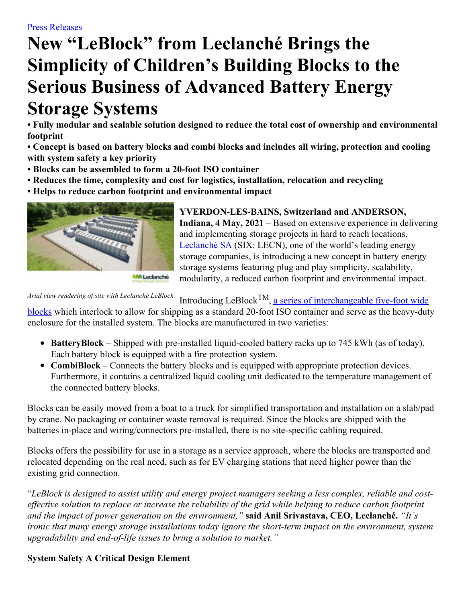# **New "LeBlock" from Leclanché Brings the Simplicity of Children's Building Blocks to the Serious Business of Advanced Battery Energy Storage Systems**

**• Fully modular and scalable solution designed to reduce the total cost of ownership and environmental footprint**

**• Concept is based on battery blocks and combi blocks and includes all wiring, protection and cooling with system safety a key priority**

- **• Blocks can be assembled to form a 20-foot ISO container**
- **• Reduces the time, complexity and cost for logistics, installation, relocation and recycling**

**• Helps to reduce carbon footprint and environmental impact**



**YVERDON-LES-BAINS, Switzerland and ANDERSON, Indiana, 4 May, 2021** – Based on extensive experience in delivering and implementing storage projects in hard to reach locations, [Leclanché](http://www.leclanche.com/) SA (SIX: LECN), one of the world's leading energy storage companies, is introducing a new concept in battery energy storage systems featuring plug and play simplicity, scalability, modularity, a reduced carbon footprint and environmental impact.

*Arial view rendering of site with Leclanché LeBlock*

Introducing LeBlock<sup>TM</sup>, a series of [interchangeable](https://vimeo.com/531277211) five-foot wide

blocks which interlock to allow for shipping as a standard 20-foot ISO container and serve as the heavy-duty enclosure for the installed system. The blocks are manufactured in two varieties:

- **BatteryBlock** Shipped with pre-installed liquid-cooled battery racks up to 745 kWh (as of today). Each battery block is equipped with a fire protection system.
- **CombiBlock** Connects the battery blocks and is equipped with appropriate protection devices. Furthermore, it contains a centralized liquid cooling unit dedicated to the temperature management of the connected battery blocks.

Blocks can be easily moved from a boat to a truck for simplified transportation and installation on a slab/pad by crane. No packaging or container waste removal is required. Since the blocks are shipped with the batteries in-place and wiring/connectors pre-installed, there is no site-specific cabling required.

Blocks offers the possibility for use in a storage as a service approach, where the blocks are transported and relocated depending on the real need, such as for EV charging stations that need higher power than the existing grid connection.

"LeBlock is designed to assist utility and energy project managers seeking a less complex, reliable and costeffective solution to replace or increase the reliability of the grid while helping to reduce carbon footprint *and the impact of power generation on the environment,"* **said Anil Srivastava, CEO, Leclanché.** *"It's ironic that many energy storage installations today ignore the short-term impact on the environment, system upgradability and end-of-life issues to bring a solution to market."*

## **System Safety A Critical Design Element**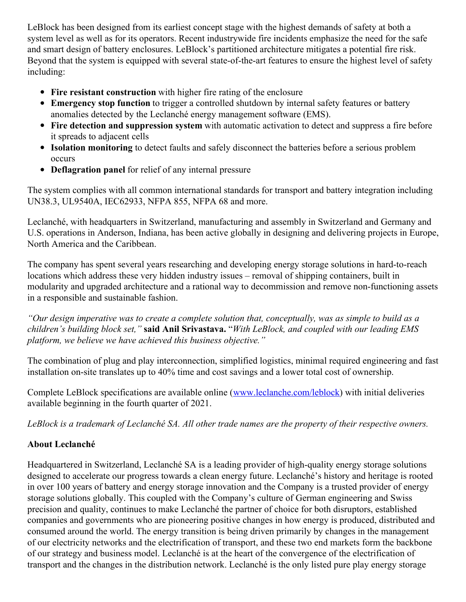LeBlock has been designed from its earliest concept stage with the highest demands of safety at both a system level as well as for its operators. Recent industrywide fire incidents emphasize the need for the safe and smart design of battery enclosures. LeBlock's partitioned architecture mitigates a potential fire risk. Beyond that the system is equipped with several state-of-the-art features to ensure the highest level of safety including:

- **Fire resistant construction** with higher fire rating of the enclosure
- **Emergency stop function** to trigger a controlled shutdown by internal safety features or battery anomalies detected by the Leclanché energy management software (EMS).
- **Fire detection and suppression system** with automatic activation to detect and suppress a fire before it spreads to adjacent cells
- **Isolation monitoring** to detect faults and safely disconnect the batteries before a serious problem occurs
- **Deflagration panel** for relief of any internal pressure

The system complies with all common international standards for transport and battery integration including UN38.3, UL9540A, IEC62933, NFPA 855, NFPA 68 and more.

Leclanché, with headquarters in Switzerland, manufacturing and assembly in Switzerland and Germany and U.S. operations in Anderson, Indiana, has been active globally in designing and delivering projects in Europe, North America and the Caribbean.

The company has spent several years researching and developing energy storage solutions in hard-to-reach locations which address these very hidden industry issues – removal of shipping containers, built in modularity and upgraded architecture and a rational way to decommission and remove non-functioning assets in a responsible and sustainable fashion.

"Our design imperative was to create a complete solution that, conceptually, was as simple to build as a *children's building block set,"* **said Anil Srivastava.** "*With LeBlock, and coupled with our leading EMS platform, we believe we have achieved this business objective."*

The combination of plug and play interconnection, simplified logistics, minimal required engineering and fast installation on-site translates up to 40% time and cost savings and a lower total cost of ownership.

Complete LeBlock specifications are available online [\(www.leclanche.com/leblock](http://www.leclanche.com/leblock)) with initial deliveries available beginning in the fourth quarter of 2021.

LeBlock is a trademark of Leclanché SA. All other trade names are the property of their respective owners.

# **About Leclanché**

Headquartered in Switzerland, Leclanché SA is a leading provider of high-quality energy storage solutions designed to accelerate our progress towards a clean energy future. Leclanché's history and heritage is rooted in over 100 years of battery and energy storage innovation and the Company is a trusted provider of energy storage solutions globally. This coupled with the Company's culture of German engineering and Swiss precision and quality, continues to make Leclanché the partner of choice for both disruptors, established companies and governments who are pioneering positive changes in how energy is produced, distributed and consumed around the world. The energy transition is being driven primarily by changes in the management of our electricity networks and the electrification of transport, and these two end markets form the backbone of our strategy and business model. Leclanché is at the heart of the convergence of the electrification of transport and the changes in the distribution network. Leclanché is the only listed pure play energy storage